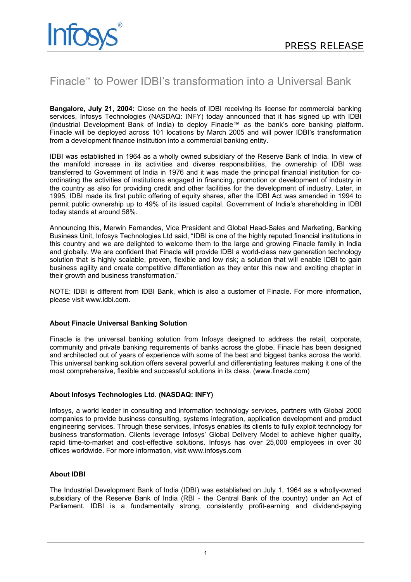# Finacle™ to Power IDBI's transformation into a Universal Bank

**Bangalore, July 21, 2004:** Close on the heels of IDBI receiving its license for commercial banking services, Infosys Technologies (NASDAQ: INFY) today announced that it has signed up with IDBI (Industrial Development Bank of India) to deploy Finacle™ as the bank's core banking platform. Finacle will be deployed across 101 locations by March 2005 and will power IDBI's transformation from a development finance institution into a commercial banking entity.

IDBI was established in 1964 as a wholly owned subsidiary of the Reserve Bank of India. In view of the manifold increase in its activities and diverse responsibilities, the ownership of IDBI was transferred to Government of India in 1976 and it was made the principal financial institution for coordinating the activities of institutions engaged in financing, promotion or development of industry in the country as also for providing credit and other facilities for the development of industry. Later, in 1995, IDBI made its first public offering of equity shares, after the IDBI Act was amended in 1994 to permit public ownership up to 49% of its issued capital. Government of India's shareholding in IDBI today stands at around 58%.

Announcing this, Merwin Fernandes, Vice President and Global Head-Sales and Marketing, Banking Business Unit, Infosys Technologies Ltd said, "IDBI is one of the highly reputed financial institutions in this country and we are delighted to welcome them to the large and growing Finacle family in India and globally. We are confident that Finacle will provide IDBI a world-class new generation technology solution that is highly scalable, proven, flexible and low risk; a solution that will enable IDBI to gain business agility and create competitive differentiation as they enter this new and exciting chapter in their growth and business transformation."

NOTE: IDBI is different from IDBI Bank, which is also a customer of Finacle. For more information, please visit www.idbi.com.

## **About Finacle Universal Banking Solution**

Finacle is the universal banking solution from Infosys designed to address the retail, corporate, community and private banking requirements of banks across the globe. Finacle has been designed and architected out of years of experience with some of the best and biggest banks across the world. This universal banking solution offers several powerful and differentiating features making it one of the most comprehensive, flexible and successful solutions in its class. (www.finacle.com)

## **About Infosys Technologies Ltd. (NASDAQ: INFY)**

Infosys, a world leader in consulting and information technology services, partners with Global 2000 companies to provide business consulting, systems integration, application development and product engineering services. Through these services, Infosys enables its clients to fully exploit technology for business transformation. Clients leverage Infosys' Global Delivery Model to achieve higher quality, rapid time-to-market and cost-effective solutions. Infosys has over 25,000 employees in over 30 offices worldwide. For more information, visit www.infosys.com

## **About IDBI**

The Industrial Development Bank of India (IDBI) was established on July 1, 1964 as a wholly-owned subsidiary of the Reserve Bank of India (RBI - the Central Bank of the country) under an Act of Parliament. IDBI is a fundamentally strong, consistently profit-earning and dividend-paying